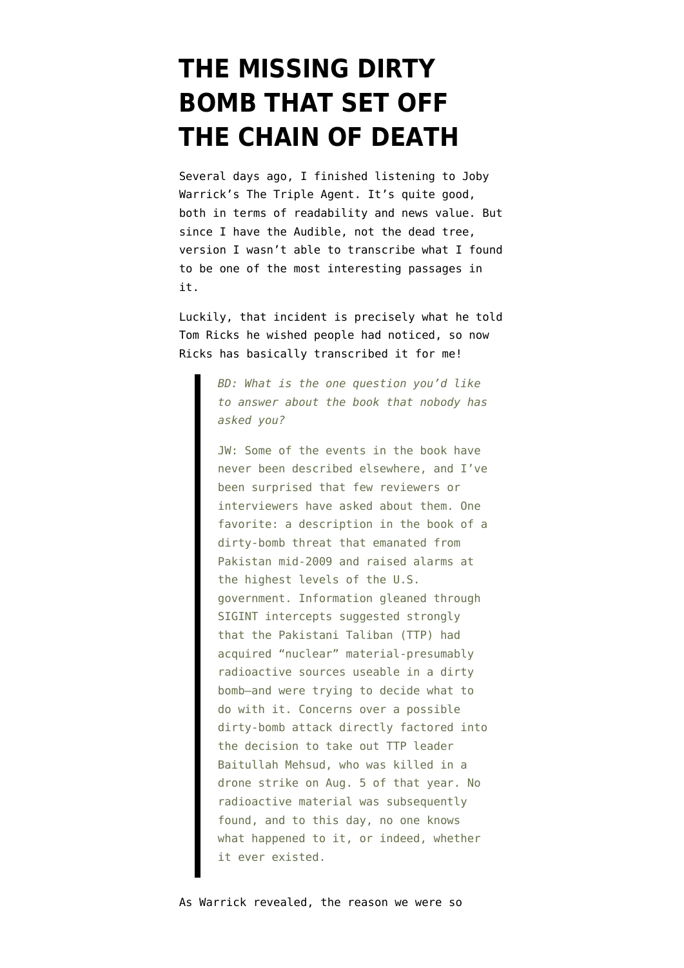## **[THE MISSING DIRTY](https://www.emptywheel.net/2011/10/17/the-missing-dirty-bomb-that-set-off-the-chain-of-death/) [BOMB THAT SET OFF](https://www.emptywheel.net/2011/10/17/the-missing-dirty-bomb-that-set-off-the-chain-of-death/) [THE CHAIN OF DEATH](https://www.emptywheel.net/2011/10/17/the-missing-dirty-bomb-that-set-off-the-chain-of-death/)**

Several days ago, I finished listening to [Joby](http://www.amazon.com/Triple-Agent-al-Qaeda-Mole-Infiltrated/dp/0385534183/ref=sr_1_1?ie=UTF8&qid=1318903084&sr=8-1) [Warrick's The Triple Agent.](http://www.amazon.com/Triple-Agent-al-Qaeda-Mole-Infiltrated/dp/0385534183/ref=sr_1_1?ie=UTF8&qid=1318903084&sr=8-1) It's quite good, both in terms of readability and news value. But since I have the Audible, not the dead tree, version I wasn't able to transcribe what I found to be one of the most interesting passages in it.

Luckily, that incident is precisely what [he told](http://ricks.foreignpolicy.com/posts/2011/10/14/joby_warricks_triple_agent) Tom Ricks he wished people had noticed, so now Ricks has basically transcribed it for me!

> *BD: What is the one question you'd like to answer about the book that nobody has asked you?*

> JW: Some of the events in the book have never been described elsewhere, and I've been surprised that few reviewers or interviewers have asked about them. One favorite: a description in the book of a dirty-bomb threat that emanated from Pakistan mid-2009 and raised alarms at the highest levels of the U.S. government. Information gleaned through SIGINT intercepts suggested strongly that the Pakistani Taliban (TTP) had acquired "nuclear" material-presumably radioactive sources useable in a dirty bomb–and were trying to decide what to do with it. Concerns over a possible dirty-bomb attack directly factored into the decision to take out TTP leader Baitullah Mehsud, who was killed in a drone strike on Aug. 5 of that year. No radioactive material was subsequently found, and to this day, no one knows what happened to it, or indeed, whether it ever existed.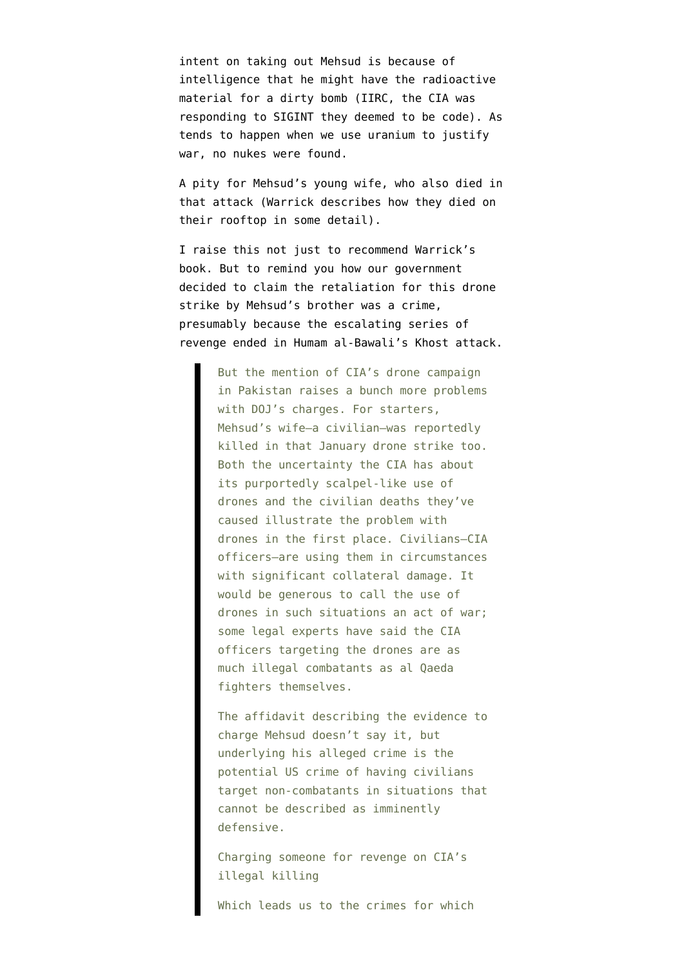intent on taking out Mehsud is because of intelligence that he might have the radioactive material for a dirty bomb (IIRC, the CIA was responding to SIGINT they deemed to be code). As tends to happen when we use uranium to justify war, no nukes were found.

A pity for Mehsud's young wife, who also died in that attack (Warrick describes how they died on their rooftop in some detail).

I raise this not just to recommend Warrick's book. But to remind you how our government [decided to claim](http://www.emptywheel.net/2010/09/02/on-tuesday-generael-petraeus-achieved-victory-in-oceania-on-wednesday-he-led-us-to-war-against-eastasia/) the retaliation for this drone strike by Mehsud's brother was a crime, presumably because the escalating series of revenge ended in Humam al-Bawali's Khost attack.

> But the mention of CIA's drone campaign in Pakistan raises a bunch more problems with DOJ's charges. For starters, Mehsud's wife–a civilian–was reportedly killed in that January drone strike too. Both the uncertainty the CIA has about its purportedly scalpel-like use of drones and the civilian deaths they've caused illustrate the problem with drones in the first place. Civilians–CIA officers–are using them in circumstances with significant collateral damage. It would be generous to call the use of drones in such situations an act of war; some legal experts have said the CIA officers targeting the drones are as much illegal combatants as al Qaeda fighters themselves.

> The affidavit describing the evidence to charge Mehsud doesn't say it, but underlying his alleged crime is the potential US crime of having civilians target non-combatants in situations that cannot be described as imminently defensive.

Charging someone for revenge on CIA's illegal killing

Which leads us to the crimes for which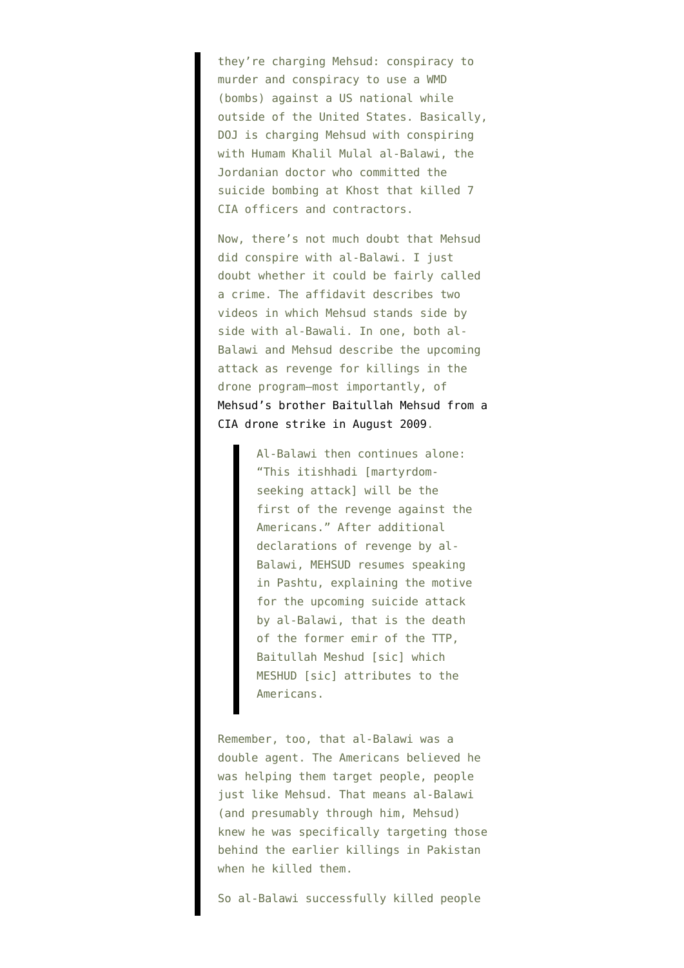they're charging Mehsud: conspiracy to murder and conspiracy to use a WMD (bombs) against a US national while outside of the United States. Basically, DOJ is charging Mehsud with conspiring with Humam Khalil Mulal al-Balawi, the Jordanian doctor who committed the suicide bombing at Khost that killed 7 CIA officers and contractors.

Now, there's not much doubt that Mehsud did conspire with al-Balawi. I just doubt whether it could be fairly called a crime. The affidavit describes two videos in which Mehsud stands side by side with al-Bawali. In one, both al-Balawi and Mehsud describe the upcoming attack as revenge for killings in the drone program–most importantly, of [Mehsud's brother Baitullah Mehsud from a](http://www.guardian.co.uk/world/2009/aug/07/baitullah-mehsud-dead-taliban-pakistan) [CIA drone strike in August 2009.](http://www.guardian.co.uk/world/2009/aug/07/baitullah-mehsud-dead-taliban-pakistan)

> Al-Balawi then continues alone: "This itishhadi [martyrdomseeking attack] will be the first of the revenge against the Americans." After additional declarations of revenge by al-Balawi, MEHSUD resumes speaking in Pashtu, explaining the motive for the upcoming suicide attack by al-Balawi, that is the death of the former emir of the TTP, Baitullah Meshud [sic] which MESHUD [sic] attributes to the Americans.

Remember, too, that al-Balawi was a double agent. The Americans believed he was helping them target people, people just like Mehsud. That means al-Balawi (and presumably through him, Mehsud) knew he was specifically targeting those behind the earlier killings in Pakistan when he killed them.

So al-Balawi successfully killed people